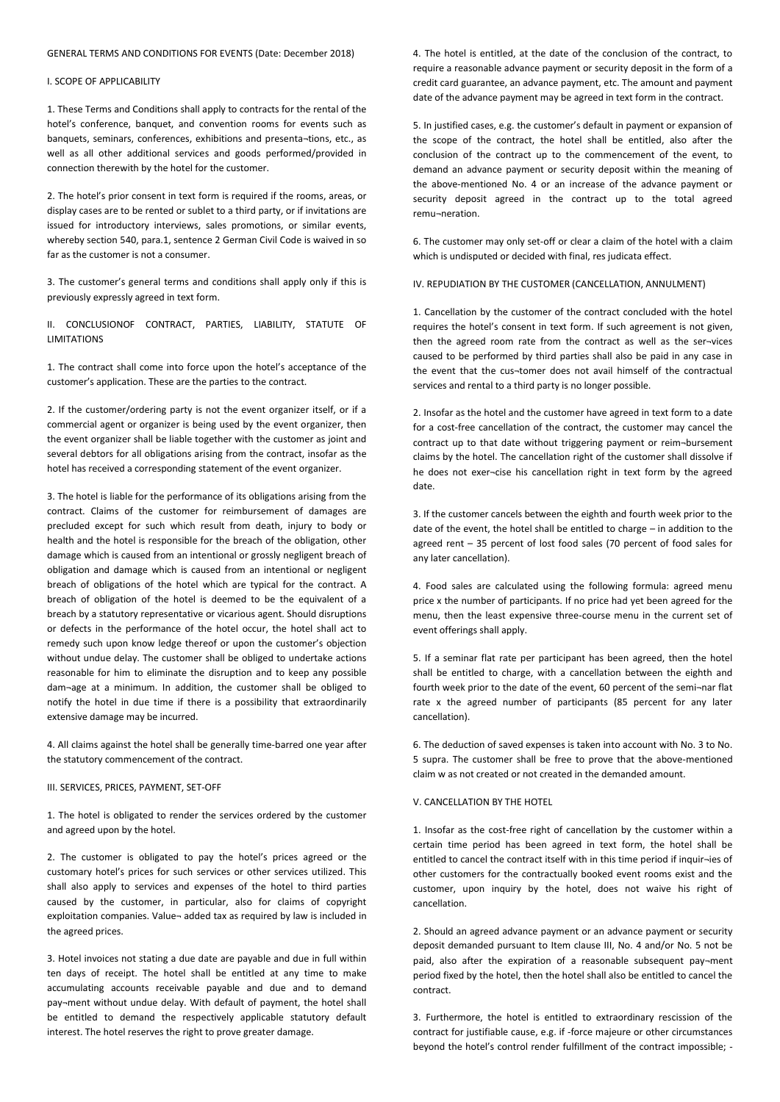#### GENERAL TERMS AND CONDITIONS FOR EVENTS (Date: December 2018)

# I. SCOPE OF APPLICABILITY

1. These Terms and Conditions shall apply to contracts for the rental of the hotel's conference, banquet, and convention rooms for events such as banquets, seminars, conferences, exhibitions and presenta¬tions, etc., as well as all other additional services and goods performed/provided in connection therewith by the hotel for the customer.

2. The hotel's prior consent in text form is required if the rooms, areas, or display cases are to be rented or sublet to a third party, or if invitations are issued for introductory interviews, sales promotions, or similar events, whereby section 540, para.1, sentence 2 German Civil Code is waived in so far as the customer is not a consumer.

3. The customer's general terms and conditions shall apply only if this is previously expressly agreed in text form.

II. CONCLUSIONOF CONTRACT, PARTIES, LIABILITY, STATUTE OF LIMITATIONS

1. The contract shall come into force upon the hotel's acceptance of the customer's application. These are the parties to the contract.

2. If the customer/ordering party is not the event organizer itself, or if a commercial agent or organizer is being used by the event organizer, then the event organizer shall be liable together with the customer as joint and several debtors for all obligations arising from the contract, insofar as the hotel has received a corresponding statement of the event organizer.

3. The hotel is liable for the performance of its obligations arising from the contract. Claims of the customer for reimbursement of damages are precluded except for such which result from death, injury to body or health and the hotel is responsible for the breach of the obligation, other damage which is caused from an intentional or grossly negligent breach of obligation and damage which is caused from an intentional or negligent breach of obligations of the hotel which are typical for the contract. A breach of obligation of the hotel is deemed to be the equivalent of a breach by a statutory representative or vicarious agent. Should disruptions or defects in the performance of the hotel occur, the hotel shall act to remedy such upon know ledge thereof or upon the customer's objection without undue delay. The customer shall be obliged to undertake actions reasonable for him to eliminate the disruption and to keep any possible dam¬age at a minimum. In addition, the customer shall be obliged to notify the hotel in due time if there is a possibility that extraordinarily extensive damage may be incurred.

4. All claims against the hotel shall be generally time-barred one year after the statutory commencement of the contract.

#### III. SERVICES, PRICES, PAYMENT, SET-OFF

1. The hotel is obligated to render the services ordered by the customer and agreed upon by the hotel.

2. The customer is obligated to pay the hotel's prices agreed or the customary hotel's prices for such services or other services utilized. This shall also apply to services and expenses of the hotel to third parties caused by the customer, in particular, also for claims of copyright exploitation companies. Value¬ added tax as required by law is included in the agreed prices.

3. Hotel invoices not stating a due date are payable and due in full within ten days of receipt. The hotel shall be entitled at any time to make accumulating accounts receivable payable and due and to demand pay¬ment without undue delay. With default of payment, the hotel shall be entitled to demand the respectively applicable statutory default interest. The hotel reserves the right to prove greater damage.

4. The hotel is entitled, at the date of the conclusion of the contract, to require a reasonable advance payment or security deposit in the form of a credit card guarantee, an advance payment, etc. The amount and payment date of the advance payment may be agreed in text form in the contract.

5. In justified cases, e.g. the customer's default in payment or expansion of the scope of the contract, the hotel shall be entitled, also after the conclusion of the contract up to the commencement of the event, to demand an advance payment or security deposit within the meaning of the above-mentioned No. 4 or an increase of the advance payment or security deposit agreed in the contract up to the total agreed remu¬neration.

6. The customer may only set-off or clear a claim of the hotel with a claim which is undisputed or decided with final, res judicata effect.

IV. REPUDIATION BY THE CUSTOMER (CANCELLATION, ANNULMENT)

1. Cancellation by the customer of the contract concluded with the hotel requires the hotel's consent in text form. If such agreement is not given, then the agreed room rate from the contract as well as the ser¬vices caused to be performed by third parties shall also be paid in any case in the event that the cus¬tomer does not avail himself of the contractual services and rental to a third party is no longer possible.

2. Insofar as the hotel and the customer have agreed in text form to a date for a cost-free cancellation of the contract, the customer may cancel the contract up to that date without triggering payment or reim¬bursement claims by the hotel. The cancellation right of the customer shall dissolve if he does not exer¬cise his cancellation right in text form by the agreed date.

3. If the customer cancels between the eighth and fourth week prior to the date of the event, the hotel shall be entitled to charge – in addition to the agreed rent – 35 percent of lost food sales (70 percent of food sales for any later cancellation).

4. Food sales are calculated using the following formula: agreed menu price x the number of participants. If no price had yet been agreed for the menu, then the least expensive three-course menu in the current set of event offerings shall apply.

5. If a seminar flat rate per participant has been agreed, then the hotel shall be entitled to charge, with a cancellation between the eighth and fourth week prior to the date of the event, 60 percent of the semi¬nar flat rate x the agreed number of participants (85 percent for any later cancellation).

6. The deduction of saved expenses is taken into account with No. 3 to No. 5 supra. The customer shall be free to prove that the above-mentioned claim w as not created or not created in the demanded amount.

# V. CANCELLATION BY THE HOTEL

1. Insofar as the cost-free right of cancellation by the customer within a certain time period has been agreed in text form, the hotel shall be entitled to cancel the contract itself with in this time period if inquir¬ies of other customers for the contractually booked event rooms exist and the customer, upon inquiry by the hotel, does not waive his right of cancellation.

2. Should an agreed advance payment or an advance payment or security deposit demanded pursuant to Item clause III, No. 4 and/or No. 5 not be paid, also after the expiration of a reasonable subsequent pay-ment period fixed by the hotel, then the hotel shall also be entitled to cancel the contract.

3. Furthermore, the hotel is entitled to extraordinary rescission of the contract for justifiable cause, e.g. if -force majeure or other circumstances beyond the hotel's control render fulfillment of the contract impossible; -